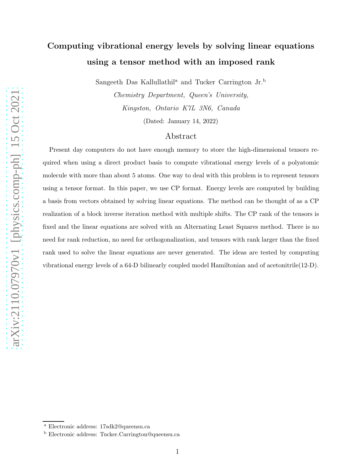# Computing vibrational energy levels by solving linear equations using a tensor method with an imposed rank

Sangeeth Das Kallullathil<sup>a</sup> and Tucker Carrington Jr.<sup>b</sup>

Chemistry Department, Queen's University, Kingston, Ontario K7L 3N6, Canada (Dated: January 14, 2022)

### Abstract

Present day computers do not have enough memory to store the high-dimensional tensors required when using a direct product basis to compute vibrational energy levels of a polyatomic molecule with more than about 5 atoms. One way to deal with this problem is to represent tensors using a tensor format. In this paper, we use CP format. Energy levels are computed by building a basis from vectors obtained by solving linear equations. The method can be thought of as a CP realization of a block inverse iteration method with multiple shifts. The CP rank of the tensors is fixed and the linear equations are solved with an Alternating Least Squares method. There is no need for rank reduction, no need for orthogonalization, and tensors with rank larger than the fixed rank used to solve the linear equations are never generated. The ideas are tested by computing vibrational energy levels of a 64-D bilinearly coupled model Hamiltonian and of acetonitrile(12-D).

<sup>a</sup> Electronic address: 17sdk2@queensu.ca

<sup>b</sup> Electronic address: Tucker.Carrington@queensu.ca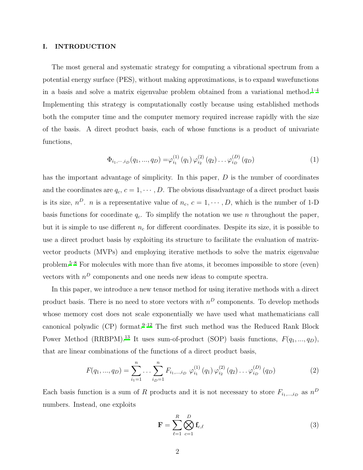#### I. INTRODUCTION

The most general and systematic strategy for computing a vibrational spectrum from a potential energy surface (PES), without making approximations, is to expand wavefunctions in a basis and solve a matrix eigenvalue problem obtained from a variational method.<sup>[1](#page-23-0)-4</sup> Implementing this strategy is computationally costly because using established methods both the computer time and the computer memory required increase rapidly with the size of the basis. A direct product basis, each of whose functions is a product of univariate functions,

$$
\Phi_{i_1,\dots,i_D}(q_1,...,q_D) = \varphi_{i_1}^{(1)}(q_1) \varphi_{i_2}^{(2)}(q_2) \dots \varphi_{i_D}^{(D)}(q_D)
$$
\n(1)

has the important advantage of simplicity. In this paper, D is the number of coordinates and the coordinates are  $q_c, c = 1, \dots, D$ . The obvious disadvantage of a direct product basis is its size,  $n^D$ . *n* is a representative value of  $n_c$ ,  $c = 1, \dots, D$ , which is the number of 1-D basis functions for coordinate  $q_c$ . To simplify the notation we use n throughout the paper, but it is simple to use different  $n_c$  for different coordinates. Despite its size, it is possible to use a direct product basis by exploiting its structure to facilitate the evaluation of matrixvector products (MVPs) and employing iterative methods to solve the matrix eigenvalue problem.[5](#page-23-2)[–8](#page-23-3) For molecules with more than five atoms, it becomes impossible to store (even) vectors with  $n<sup>D</sup>$  components and one needs new ideas to compute spectra.

In this paper, we introduce a new tensor method for using iterative methods with a direct product basis. There is no need to store vectors with  $n<sup>D</sup>$  components. To develop methods whose memory cost does not scale exponentially we have used what mathematicians call canonical polyadic (CP) format. $9-12$  $9-12$  The first such method was the Reduced Rank Block Power Method (RRBPM).<sup>[13](#page-23-6)</sup> It uses sum-of-product (SOP) basis functions,  $F(q_1, ..., q_D)$ , that are linear combinations of the functions of a direct product basis,

$$
F(q_1, ..., q_D) = \sum_{i_1=1}^n ... \sum_{i_D=1}^n F_{i_1, ..., i_D} \varphi_{i_1}^{(1)}(q_1) \varphi_{i_2}^{(2)}(q_2) ... \varphi_{i_D}^{(D)}(q_D)
$$
(2)

Each basis function is a sum of R products and it is not necessary to store  $F_{i_1,\dots,i_D}$  as  $n^D$ numbers. Instead, one exploits

<span id="page-1-0"></span>
$$
\mathbf{F} = \sum_{\ell=1}^{R} \bigotimes_{c=1}^{D} \mathbf{f}_{c,\ell} \tag{3}
$$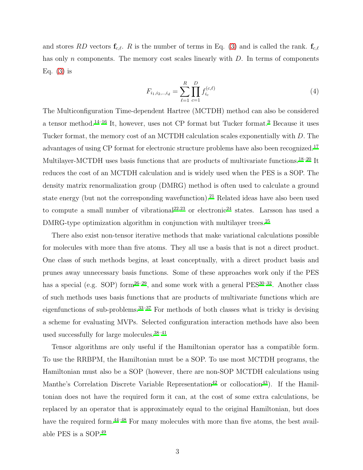and stores RD vectors  $\mathbf{f}_{c,\ell}$ . R is the number of terms in Eq. [\(3\)](#page-1-0) and is called the rank.  $\mathbf{f}_{c,\ell}$ has only n components. The memory cost scales linearly with D. In terms of components Eq.  $(3)$  is

$$
F_{i_1, i_2, \dots, i_d} = \sum_{\ell=1}^{R} \prod_{c=1}^{D} f_{i_c}^{(c,\ell)} \tag{4}
$$

The Multiconfiguration Time-dependent Hartree (MCTDH) method can also be considered a tensor method.[14](#page-23-7)[–16](#page-23-8) It, however, uses not CP format but Tucker format.[9](#page-23-4) Because it uses Tucker format, the memory cost of an MCTDH calculation scales exponentially with D. The advantages of using CP format for electronic structure problems have also been recognized.<sup>[17](#page-23-9)</sup> Multilayer-MCTDH uses basis functions that are products of multivariate functions.<sup>[18](#page-23-10)[–20](#page-23-11)</sup> It reduces the cost of an MCTDH calculation and is widely used when the PES is a SOP. The density matrix renormalization group (DMRG) method is often used to calculate a ground state energy (but not the corresponding wavefunction).<sup>[21](#page-23-12)</sup> Related ideas have also been used to compute a small number of vibrational<sup>[22](#page-23-13)[,23](#page-23-14)</sup> or electronic<sup>[24](#page-23-15)</sup> states. Larsson has used a DMRG-type optimization algorithm in conjunction with multilayer trees.<sup>[25](#page-23-16)</sup>

There also exist non-tensor iterative methods that make variational calculations possible for molecules with more than five atoms. They all use a basis that is not a direct product. One class of such methods begins, at least conceptually, with a direct product basis and prunes away unnecessary basis functions. Some of these approaches work only if the PES has a special (e.g. SOP) form<sup>[26](#page-23-17)[–29](#page-24-0)</sup>, and some work with a general  $PES^{30-32}$  $PES^{30-32}$  $PES^{30-32}$ . Another class of such methods uses basis functions that are products of multivariate functions which are eigenfunctions of sub-problems.[33](#page-24-3)[–37](#page-24-4) For methods of both classes what is tricky is devising a scheme for evaluating MVPs. Selected configuration interaction methods have also been used successfully for large molecules.[38](#page-24-5)[–41](#page-24-6)

Tensor algorithms are only useful if the Hamiltonian operator has a compatible form. To use the RRBPM, the Hamiltonian must be a SOP. To use most MCTDH programs, the Hamiltonian must also be a SOP (however, there are non-SOP MCTDH calculations using Manthe's Correlation Discrete Variable Representation<sup>[42](#page-24-7)</sup> or collocation<sup>[43](#page-24-8)</sup>). If the Hamiltonian does not have the required form it can, at the cost of some extra calculations, be replaced by an operator that is approximately equal to the original Hamiltonian, but does have the required form.<sup>[44](#page-24-9)[–48](#page-24-10)</sup> For many molecules with more than five atoms, the best available PES is a SOP.[49](#page-24-11)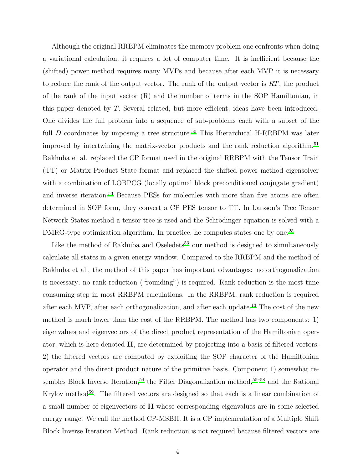Although the original RRBPM eliminates the memory problem one confronts when doing a variational calculation, it requires a lot of computer time. It is inefficient because the (shifted) power method requires many MVPs and because after each MVP it is necessary to reduce the rank of the output vector. The rank of the output vector is  $RT$ , the product of the rank of the input vector (R) and the number of terms in the SOP Hamiltonian, in this paper denoted by T. Several related, but more efficient, ideas have been introduced. One divides the full problem into a sequence of sub-problems each with a subset of the full  $D$  coordinates by imposing a tree structure.<sup>[50](#page-24-12)</sup> This Hierarchical H-RRBPM was later improved by intertwining the matrix-vector products and the rank reduction algorithm.<sup>[51](#page-24-13)</sup> Rakhuba et al. replaced the CP format used in the original RRBPM with the Tensor Train (TT) or Matrix Product State format and replaced the shifted power method eigensolver with a combination of LOBPCG (locally optimal block preconditioned conjugate gradient) and inverse iteration.<sup>[53](#page-24-14)</sup> Because PESs for molecules with more than five atoms are often determined in SOP form, they convert a CP PES tensor to TT. In Larsson's Tree Tensor Network States method a tensor tree is used and the Schrödinger equation is solved with a DMRG-type optimization algorithm. In practice, he computes states one by one.[25](#page-23-16)

Like the method of Rakhuba and Oseledets<sup>[53](#page-24-14)</sup> our method is designed to simultaneously calculate all states in a given energy window. Compared to the RRBPM and the method of Rakhuba et al., the method of this paper has important advantages: no orthogonalization is necessary; no rank reduction ("rounding") is required. Rank reduction is the most time consuming step in most RRBPM calculations. In the RRBPM, rank reduction is required after each MVP, after each orthogonalization, and after each update.[13](#page-23-6) The cost of the new method is much lower than the cost of the RRBPM. The method has two components: 1) eigenvalues and eigenvectors of the direct product representation of the Hamiltonian operator, which is here denoted H, are determined by projecting into a basis of filtered vectors; 2) the filtered vectors are computed by exploiting the SOP character of the Hamiltonian operator and the direct product nature of the primitive basis. Component 1) somewhat re-sembles Block Inverse Iteration,<sup>[54](#page-24-15)</sup> the Filter Diagonalization method,<sup>[55](#page-24-16)[–58](#page-25-0)</sup> and the Rational Krylov method<sup>[59](#page-25-1)</sup>. The filtered vectors are designed so that each is a linear combination of a small number of eigenvectors of H whose corresponding eigenvalues are in some selected energy range. We call the method CP-MSBII. It is a CP implementation of a Multiple Shift Block Inverse Iteration Method. Rank reduction is not required because filtered vectors are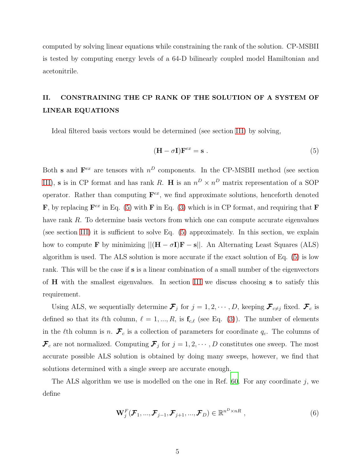computed by solving linear equations while constraining the rank of the solution. CP-MSBII is tested by computing energy levels of a 64-D bilinearly coupled model Hamiltonian and acetonitrile.

# <span id="page-4-1"></span>II. CONSTRAINING THE CP RANK OF THE SOLUTION OF A SYSTEM OF LINEAR EQUATIONS

Ideal filtered basis vectors would be determined (see section [III\)](#page-7-0) by solving,

<span id="page-4-0"></span>
$$
(\mathbf{H} - \sigma \mathbf{I}) \mathbf{F}^{ex} = \mathbf{s} \tag{5}
$$

Both s and  $\mathbf{F}^{ex}$  are tensors with  $n^D$  components. In the CP-MSBII method (see section [III\)](#page-7-0), **s** is in CP format and has rank R. H is an  $n^D \times n^D$  matrix representation of a SOP operator. Rather than computing  $\mathbf{F}^{ex}$ , we find approximate solutions, henceforth denoted **F**, by replacing  $\mathbf{F}^{ex}$  in Eq. [\(5\)](#page-4-0) with **F** in Eq. [\(3\)](#page-1-0) which is in CP format, and requiring that **F** have rank R. To determine basis vectors from which one can compute accurate eigenvalues (see section [III\)](#page-7-0) it is sufficient to solve Eq. [\(5\)](#page-4-0) approximately. In this section, we explain how to compute **F** by minimizing  $||(\mathbf{H} - \sigma \mathbf{I})\mathbf{F} - \mathbf{s}||$ . An Alternating Least Squares (ALS) algorithm is used. The ALS solution is more accurate if the exact solution of Eq. [\(5\)](#page-4-0) is low rank. This will be the case if s is a linear combination of a small number of the eigenvectors of H with the smallest eigenvalues. In section [III](#page-7-0) we discuss choosing s to satisfy this requirement.

Using ALS, we sequentially determine  $\mathcal{F}_j$  for  $j=1,2,\cdots,D$ , keeping  $\mathcal{F}_{c\neq j}$  fixed.  $\mathcal{F}_c$  is defined so that its  $\ell$ th column,  $\ell = 1, ..., R$ , is  $f_{c,\ell}$  (see Eq. [\(3\)](#page-1-0)). The number of elements in the  $\ell$ th column is n.  $\mathcal{F}_c$  is a collection of parameters for coordinate  $q_c$ . The columns of  $\mathcal{F}_c$  are not normalized. Computing  $\mathcal{F}_j$  for  $j = 1, 2, \cdots, D$  constitutes one sweep. The most accurate possible ALS solution is obtained by doing many sweeps, however, we find that solutions determined with a single sweep are accurate enough.

The ALS algorithm we use is modelled on the one in Ref. [60.](#page-25-2) For any coordinate  $j$ , we define

$$
\mathbf{W}_{j}^{F}(\boldsymbol{\mathcal{F}}_{1},...,\boldsymbol{\mathcal{F}}_{j-1},\boldsymbol{\mathcal{F}}_{j+1},...,\boldsymbol{\mathcal{F}}_{D})\in\mathbb{R}^{n^{D}\times nR},\qquad(6)
$$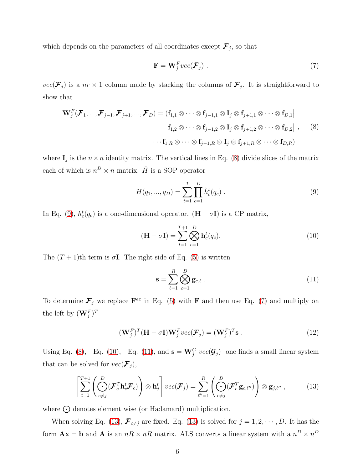which depends on the parameters of all coordinates except  $\mathcal{F}_j$ , so that

<span id="page-5-2"></span><span id="page-5-0"></span>
$$
\mathbf{F} = \mathbf{W}_j^F vec(\mathcal{F}_j) .
$$
 (7)

 $vec(\mathcal{F}_j)$  is a  $nr \times 1$  column made by stacking the columns of  $\mathcal{F}_j$ . It is straightforward to show that

$$
\mathbf{W}_{j}^{F}(\boldsymbol{\mathcal{F}}_{1},...,\boldsymbol{\mathcal{F}}_{j-1},\boldsymbol{\mathcal{F}}_{j+1},...,\boldsymbol{\mathcal{F}}_{D}) = (\mathbf{f}_{1,1} \otimes \cdots \otimes \mathbf{f}_{j-1,1} \otimes \mathbf{I}_{j} \otimes \mathbf{f}_{j+1,1} \otimes \cdots \otimes \mathbf{f}_{D,1})
$$
\n
$$
\mathbf{f}_{1,2} \otimes \cdots \otimes \mathbf{f}_{j-1,2} \otimes \mathbf{I}_{j} \otimes \mathbf{f}_{j+1,2} \otimes \cdots \otimes \mathbf{f}_{D,2} | , \qquad (8)
$$
\n
$$
\cdots \mathbf{f}_{1,R} \otimes \cdots \otimes \mathbf{f}_{j-1,R} \otimes \mathbf{I}_{j} \otimes \mathbf{f}_{j+1,R} \otimes \cdots \otimes \mathbf{f}_{D,R})
$$

where  $I_j$  is the  $n \times n$  identity matrix. The vertical lines in Eq. [\(8\)](#page-5-0) divide slices of the matrix each of which is  $n^D \times n$  matrix.  $\hat{H}$  is a SOP operator

<span id="page-5-1"></span>
$$
H(q_1, ..., q_D) = \sum_{t=1}^{T} \prod_{c=1}^{D} \hat{h}_c^t(q_c) .
$$
 (9)

In Eq. [\(9\)](#page-5-1),  $h_c^t(q_c)$  is a one-dimensional operator. (**H** –  $\sigma$ **I**) is a CP matrix,

$$
(\mathbf{H} - \sigma \mathbf{I}) = \sum_{t=1}^{T+1} \bigotimes_{c=1}^{D} \mathbf{h}_c^t(q_c). \tag{10}
$$

The  $(T + 1)$ th term is  $\sigma I$ . The right side of Eq. [\(5\)](#page-4-0) is written

<span id="page-5-5"></span><span id="page-5-4"></span><span id="page-5-3"></span>
$$
\mathbf{s} = \sum_{\ell=1}^{R} \bigotimes_{c=1}^{D} \mathbf{g}_{c,\ell} \tag{11}
$$

To determine  $\mathcal{F}_j$  we replace  $\mathbf{F}^{ex}$  in Eq. [\(5\)](#page-4-0) with F and then use Eq. [\(7\)](#page-5-2) and multiply on the left by  $(\mathbf{W}_j^F)^T$ 

$$
(\mathbf{W}_j^F)^T (\mathbf{H} - \sigma \mathbf{I}) \mathbf{W}_j^F vec(\mathcal{F}_j) = (\mathbf{W}_j^F)^T \mathbf{s} . \qquad (12)
$$

Using Eq. [\(8\)](#page-5-0), Eq. [\(10\)](#page-5-3), Eq. [\(11\)](#page-5-4), and  $\mathbf{s} = \mathbf{W}_j^G$  vec $(\mathcal{G}_j)$  one finds a small linear system that can be solved for  $vec(\mathcal{F}_j)$ ,

$$
\left[\sum_{t=1}^{T+1} \left(\bigodot_{c \neq j}^{D} (\mathcal{F}_c^T \mathbf{h}_c^t \mathcal{F}_c)\right) \otimes \mathbf{h}_j^t\right] \text{vec}(\mathcal{F}_j) = \sum_{\ell''=1}^{R} \left(\bigodot_{c \neq j}^{D} (\mathcal{F}_c^T \mathbf{g}_{c,\ell''})\right) \otimes \mathbf{g}_{j,\ell''},\tag{13}
$$

where  $\odot$  denotes element wise (or Hadamard) multiplication.

When solving Eq. [\(13\)](#page-5-5),  $\mathcal{F}_{c\neq j}$  are fixed. Eq. (13) is solved for  $j = 1, 2, \cdots, D$ . It has the form  $\mathbf{A}\mathbf{x} = \mathbf{b}$  and  $\mathbf{A}$  is an  $nR \times nR$  matrix. ALS converts a linear system with a  $n^D \times n^D$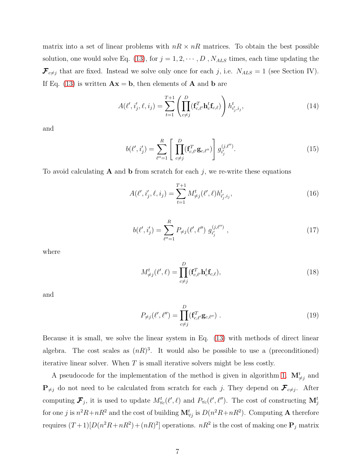matrix into a set of linear problems with  $nR \times nR$  matrices. To obtain the best possible solution, one would solve Eq. [\(13\)](#page-5-5), for  $j = 1, 2, \cdots, D$  ,  $N_{ALS}$  times, each time updating the  $\mathcal{F}_{c\neq j}$  that are fixed. Instead we solve only once for each j, i.e.  $N_{ALS} = 1$  (see Section IV). If Eq. [\(13\)](#page-5-5) is written  $\mathbf{A}\mathbf{x} = \mathbf{b}$ , then elements of  $\mathbf{A}$  and  $\mathbf{b}$  are

$$
A(\ell', i'_j, \ell, i_j) = \sum_{t=1}^{T+1} \left( \prod_{c \neq j}^{D} (\mathbf{f}_{c,\ell'}^T \mathbf{h}_c^t \mathbf{f}_{c,\ell}) \right) h_{i'_j, i_j}^t,
$$
(14)

and

$$
b(\ell', i'_j) = \sum_{\ell''=1}^{R} \left[ \prod_{c \neq j}^{D} (\mathbf{f}_{c, \ell'}^T \mathbf{g}_{c, \ell''}) \right] g_{i'_j}^{(j, \ell'')}.
$$
 (15)

To avoid calculating  $A$  and  $b$  from scratch for each j, we re-write these equations

$$
A(\ell', i'_j, \ell, i_j) = \sum_{t=1}^{T+1} M^t_{\neq j}(\ell', \ell) h^t_{i'_j, i_j},
$$
\n(16)

$$
b(\ell', i'_j) = \sum_{\ell''=1}^{R} P_{\neq j}(\ell', \ell'') g_{i'_j}^{(j, \ell'')} ,
$$
\n(17)

where

$$
M_{\neq j}^t(\ell',\ell) = \prod_{c \neq j}^D (\mathbf{f}_{c,\ell'}^T \mathbf{h}_c^t \mathbf{f}_{c,\ell}),
$$
\n(18)

and

$$
P_{\neq j}(\ell', \ell'') = \prod_{c \neq j}^{D} (\mathbf{f}_{c, \ell'}^T \mathbf{g}_{c, \ell'}) .
$$
 (19)

Because it is small, we solve the linear system in Eq. [\(13\)](#page-5-5) with methods of direct linear algebra. The cost scales as  $(nR)^3$ . It would also be possible to use a (preconditioned) iterative linear solver. When  $T$  is small iterative solvers might be less costly.

A pseudocode for the implementation of the method is given in algorithm [1.](#page-10-0)  $\mathbf{M}^t_{\neq j}$  and  $\mathbf{P}_{\neq j}$  do not need to be calculated from scratch for each j. They depend on  $\mathcal{F}_{c\neq j}$ . After computing  $\mathcal{F}_j$ , it is used to update  $M^t_{\forall c}(\ell', \ell')$  and  $P_{\forall c}(\ell', \ell'')$ . The cost of constructing  $\mathbf{M}^t_j$ for one j is  $n^2R+nR^2$  and the cost of building  $\mathbf{M}_{\forall j}^t$  is  $D(n^2R+nR^2)$ . Computing A therefore requires  $(T+1)[D(n^2R+nR^2)+(nR)^2]$  operations.  $nR^2$  is the cost of making one  $\mathbf{P}_j$  matrix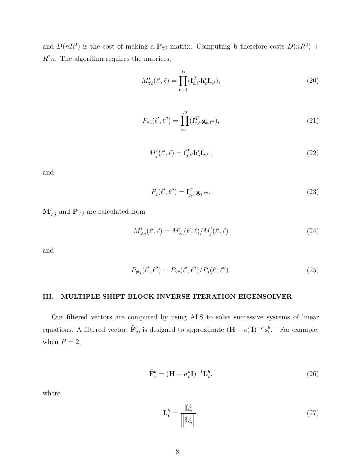and  $D(nR^2)$  is the cost of making a  $P_{\forall j}$  matrix. Computing **b** therefore costs  $D(nR^2)$  +  $R^2n$ . The algorithm requires the matrices,

$$
M_{\forall c}^{t}(\ell',\ell) = \prod_{c=1}^{D} (\mathbf{f}_{c,\ell'}^{T} \mathbf{h}_c^{t} \mathbf{f}_{c,\ell}),
$$
\n(20)

$$
P_{\forall c}(\ell', \ell'') = \prod_{c=1}^{D} (\mathbf{f}_{c, \ell'}^T \mathbf{g}_{c, \ell'})
$$
\n(21)

$$
M_j^t(\ell',\ell) = \mathbf{f}_{j,\ell'}^T \mathbf{h}_j^t \mathbf{f}_{j,\ell} \tag{22}
$$

and

$$
P_j(\ell',\ell'') = \mathbf{f}_{j,\ell'}^T \mathbf{g}_{j,\ell''}.
$$
\n(23)

 $\mathbf{M}_{\neq j}^{t}$  and  $\mathbf{P}_{\neq j}$  are calculated from

$$
M^t_{\neq j}(\ell',\ell) = M^t_{\forall c}(\ell',\ell)/M^t_j(\ell',\ell)
$$
\n(24)

and

$$
P_{\neq j}(\ell', \ell'') = P_{\forall c}(\ell', \ell'') / P_j(\ell', \ell'').
$$
\n(25)

#### <span id="page-7-0"></span>III. MULTIPLE SHIFT BLOCK INVERSE ITERATION EIGENSOLVER

Our filtered vectors are computed by using ALS to solve successive systems of linear equations. A filtered vector,  $\tilde{\mathbf{F}}_v^b$ , is designed to approximate  $(\mathbf{H} - \sigma_v^b \mathbf{I})^{-P} \mathbf{s}_v^b$ . For example, when  $P = 2$ ,

$$
\tilde{\mathbf{F}}_v^b = (\mathbf{H} - \sigma_v^b \mathbf{I})^{-1} \mathbf{L}_v^b, \tag{26}
$$

where

$$
\mathbf{L}_v^b = \frac{\tilde{\mathbf{L}}_v^b}{\left\| \tilde{\mathbf{L}}_v^b \right\|},\tag{27}
$$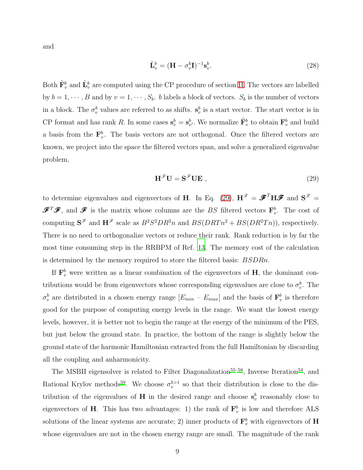and

$$
\tilde{\mathbf{L}}_v^b = (\mathbf{H} - \sigma_v^b \mathbf{I})^{-1} \mathbf{s}_v^b.
$$
\n(28)

Both  $\tilde{\mathbf{F}}_v^b$  and  $\tilde{\mathbf{L}}_v^b$  are computed using the CP procedure of section [II.](#page-4-1) The vectors are labelled by  $b = 1, \dots, B$  and by  $v = 1, \dots, S_b$ . b labels a block of vectors.  $S_b$  is the number of vectors in a block. The  $\sigma_v^b$  values are referred to as shifts.  $s_v^b$  is a start vector. The start vector is in CP format and has rank R. In some cases  $s_v^b = s_{v'}^b$ . We normalize  $\tilde{F}_v^b$  to obtain  $\mathbf{F}_v^b$  and build a basis from the  $\mathbf{F}_v^b$ . The basis vectors are not orthogonal. Once the filtered vectors are known, we project into the space the filtered vectors span, and solve a generalized eigenvalue problem,

<span id="page-8-0"></span>
$$
\mathbf{H}^{\mathscr{F}}\mathbf{U} = \mathbf{S}^{\mathscr{F}}\mathbf{U}\mathbf{E} \tag{29}
$$

to determine eigenvalues and eigenvectors of H. In Eq. [\(29\)](#page-8-0),  $H^{\mathscr{F}} = \mathscr{F}^T H \mathscr{F}$  and  $S^{\mathscr{F}} =$  $\mathscr{F}^T\mathscr{F}$ , and  $\mathscr{F}$  is the matrix whose columns are the BS filtered vectors  $\mathbf{F}_v^b$ . The cost of computing  $S^{\mathscr{F}}$  and  $H^{\mathscr{F}}$  scale as  $B^2S^2DR^2n$  and  $BS(DRTn^2 + BS(DR^2Tn))$ , respectively. There is no need to orthogonalize vectors or reduce their rank. Rank reduction is by far the most time consuming step in the RRBPM of Ref. [13.](#page-23-6) The memory cost of the calculation is determined by the memory required to store the filtered basis: BSDRn.

If  $\mathbf{F}_v^b$  were written as a linear combination of the eigenvectors of **H**, the dominant contributions would be from eigenvectors whose corresponding eigenvalues are close to  $\sigma_v^b$ . The  $\sigma_v^b$  are distributed in a chosen energy range  $[E_{min} - E_{max}]$  and the basis of  $\mathbf{F}_v^b$  is therefore good for the purpose of computing energy levels in the range. We want the lowest energy levels, however, it is better not to begin the range at the energy of the minimum of the PES, but just below the ground state. In practice, the bottom of the range is slightly below the ground state of the harmonic Hamiltonian extracted from the full Hamiltonian by discarding all the coupling and anharmonicity.

The MSBII eigensolver is related to Filter Diagonalization<sup>[55](#page-24-16)[–58](#page-25-0)</sup>, Inverse Iteration<sup>[54](#page-24-15)</sup>, and Rational Krylov methods<sup>[59](#page-25-1)</sup>. We choose  $\sigma_v^{b>1}$  so that their distribution is close to the distribution of the eigenvalues of **H** in the desired range and choose  $s_v^b$  reasonably close to eigenvectors of H. This has two advantages: 1) the rank of  $\mathbf{F}_v^b$  is low and therefore ALS solutions of the linear systems are accurate; 2) inner products of  $\mathbf{F}_v^b$  with eigenvectors of  $\mathbf{H}$ whose eigenvalues are not in the chosen energy range are small. The magnitude of the rank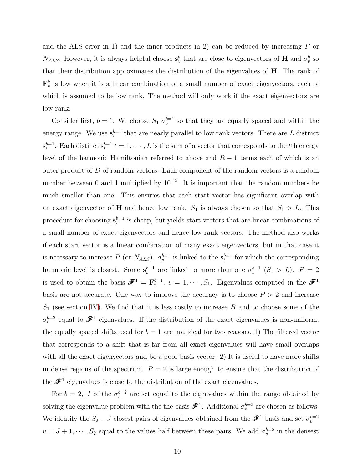and the ALS error in 1) and the inner products in 2) can be reduced by increasing  $P$  or  $N_{ALS}$ . However, it is always helpful choose  $s_v^b$  that are close to eigenvectors of **H** and  $\sigma_v^b$  so that their distribution approximates the distribution of the eigenvalues of H. The rank of  $\mathbf{F}_v^b$  is low when it is a linear combination of a small number of exact eigenvectors, each of which is assumed to be low rank. The method will only work if the exact eigenvectors are low rank.

Consider first,  $b = 1$ . We choose  $S_1 \sigma_v^{b=1}$  so that they are equally spaced and within the energy range. We use  $s_v^{b=1}$  that are nearly parallel to low rank vectors. There are L distinct  $\mathbf{s}_v^{b=1}$ . Each distinct  $\mathbf{s}_t^{b=1}$   $t = 1, \cdots, L$  is the sum of a vector that corresponds to the tth energy level of the harmonic Hamiltonian referred to above and  $R-1$  terms each of which is an outer product of D of random vectors. Each component of the random vectors is a random number between 0 and 1 multiplied by  $10^{-2}$ . It is important that the random numbers be much smaller than one. This ensures that each start vector has significant overlap with an exact eigenvector of **H** and hence low rank.  $S_1$  is always chosen so that  $S_1 > L$ . This procedure for choosing  $s_v^{b=1}$  is cheap, but yields start vectors that are linear combinations of a small number of exact eigenvectors and hence low rank vectors. The method also works if each start vector is a linear combination of many exact eigenvectors, but in that case it is necessary to increase P (or  $N_{ALS}$ ).  $\sigma_v^{b=1}$  is linked to the  $s_t^{b=1}$  for which the corresponding harmonic level is closest. Some  $s_t^{b=1}$  are linked to more than one  $\sigma_v^{b=1}$   $(S_1 > L)$ .  $P = 2$ is used to obtain the basis  $\mathscr{F}^1 = \mathbf{F}_v^{b=1}$ ,  $v = 1, \cdots, S_1$ . Eigenvalues computed in the  $\mathscr{F}^1$ basis are not accurate. One way to improve the accuracy is to choose  $P > 2$  and increase  $S_1$  (see section [IV\)](#page-12-0). We find that it is less costly to increase  $B$  and to choose some of the  $\sigma_v^{b=2}$  equal to  $\mathscr{F}^1$  eigenvalues. If the distribution of the exact eigenvalues is non-uniform, the equally spaced shifts used for  $b = 1$  are not ideal for two reasons. 1) The filtered vector that corresponds to a shift that is far from all exact eigenvalues will have small overlaps with all the exact eigenvectors and be a poor basis vector. 2) It is useful to have more shifts in dense regions of the spectrum.  $P = 2$  is large enough to ensure that the distribution of the  $\mathcal{F}^1$  eigenvalues is close to the distribution of the exact eigenvalues.

For  $b = 2$ , J of the  $\sigma_v^{b=2}$  are set equal to the eigenvalues within the range obtained by solving the eigenvalue problem with the the basis  $\mathscr{F}^1$ . Additional  $\sigma_v^{b=2}$  are chosen as follows. We identify the  $S_2 - J$  closest pairs of eigenvalues obtained from the  $\mathscr{F}^1$  basis and set  $\sigma_v^{b=2}$  $v = J + 1, \dots, S_2$  equal to the values half between these pairs. We add  $\sigma_v^{b=2}$  in the densest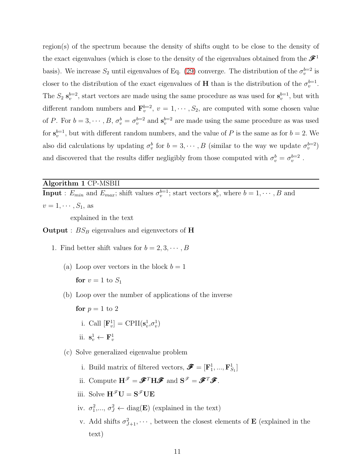region(s) of the spectrum because the density of shifts ought to be close to the density of the exact eigenvalues (which is close to the density of the eigenvalues obtained from the  $\mathcal{F}^1$ basis). We increase  $S_2$  until eigenvalues of Eq. [\(29\)](#page-8-0) converge. The distribution of the  $\sigma_v^{b=2}$  is closer to the distribution of the exact eigenvalues of **H** than is the distribution of the  $\sigma_v^{b=1}$ . The  $S_2$   $\mathbf{s}_v^{b=2}$ , start vectors are made using the same procedure as was used for  $\mathbf{s}_v^{b=1}$ , but with different random numbers and  $\mathbf{F}_v^{b=2}$ ,  $v = 1, \cdots, S_2$ , are computed with some chosen value of P. For  $b = 3, \dots, B, \sigma_v^b = \sigma_v^{b=2}$  and  $\mathbf{s}_v^{b=2}$  are made using the same procedure as was used for  $s_v^{b=1}$ , but with different random numbers, and the value of P is the same as for  $b=2$ . We also did calculations by updating  $\sigma_v^b$  for  $b = 3, \dots, B$  (similar to the way we update  $\sigma_v^{b=2}$ ) and discovered that the results differ negligibly from those computed with  $\sigma_v^b = \sigma_v^{b=2}$ .

# <span id="page-10-0"></span>Algorithm 1 CP-MSBII

**Input**:  $E_{min}$  and  $E_{max}$ ; shift values  $\sigma_v^{b=1}$ ; start vectors  $\mathbf{s}_v^b$ , where  $b = 1, \dots, B$  and  $v=1,\cdots,S_1,$  as

explained in the text

**Output** :  $BS_B$  eigenvalues and eigenvectors of **H** 

- 1. Find better shift values for  $b = 2, 3, \dots, B$ 
	- (a) Loop over vectors in the block  $b = 1$ for  $v = 1$  to  $S_1$
	- (b) Loop over the number of applications of the inverse

for  $p = 1$  to 2 i. Call  $[\mathbf{F}_v^1] = \text{CPII}(\mathbf{s}_v^1, \sigma_v^1)$ ii.  $\mathbf{s}_v^1 \leftarrow \mathbf{F}_v^1$ 

(c) Solve generalized eigenvalue problem

- i. Build matrix of filtered vectors,  $\mathbf{\mathscr{F}} = [\mathbf{F}_1^1, ..., \mathbf{F}_{S_1}^1]$
- ii. Compute  $H^{\mathscr{F}} = \mathscr{F}^T H \mathscr{F}$  and  $S^{\mathscr{F}} = \mathscr{F}^T \mathscr{F}$ .
- iii. Solve  $\mathbf{H}^{\mathscr{F}}\mathbf{U} = \mathbf{S}^{\mathscr{F}}\mathbf{U}\mathbf{E}$
- iv.  $\sigma_1^2, \dots, \sigma_J^2 \leftarrow \text{diag}(\mathbf{E})$  (explained in the text)
- v. Add shifts  $\sigma_{J+1}^2, \dots$ , between the closest elements of **E** (explained in the text)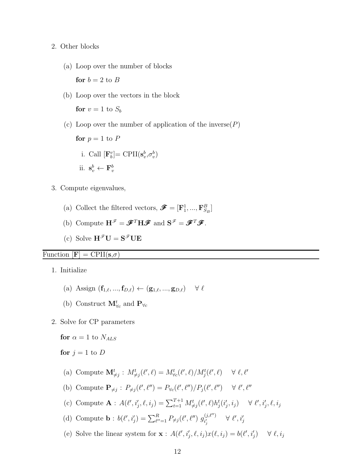#### 2. Other blocks

(a) Loop over the number of blocks

(b) Loop over the vectors in the block

for  $v = 1$  to  $S_b$ 

for  $b = 2$  to B

(c) Loop over the number of application of the inverse $(P)$ 

```
for p = 1 to Pi. Call [\mathbf{F}_b^v] = \text{CPII}(\mathbf{s}_v^b, \sigma_v^b)ii. \mathbf{s}_v^b \leftarrow \mathbf{F}_v^b
```
- 3. Compute eigenvalues,
	- (a) Collect the filtered vectors,  $\pmb{\mathscr{F}} = [\mathbf{F}_1^1, ..., \mathbf{F}_{S_B}^B]$
	- (b) Compute  $\mathbf{H}^{\mathscr{F}} = \mathscr{F}^T \mathbf{H} \mathscr{F}$  and  $\mathbf{S}^{\mathscr{F}} = \mathscr{F}^T \mathscr{F}$ .
	- (c) Solve  $H^{\mathscr{F}}U = S^{\mathscr{F}}UE$

## Function  $[\mathbf{F}] = \text{CPII}(\mathbf{s}, \sigma)$

1. Initialize

- (a) Assign  $(\mathbf{f}_{1,\ell},...,\mathbf{f}_{D,\ell}) \leftarrow (\mathbf{g}_{1,\ell},...,\mathbf{g}_{D,\ell}) \quad \forall \ell$
- (b) Construct  $\mathbf{M}_{\forall c}^{t}$  and  $\mathbf{P}_{\forall c}$
- 2. Solve for CP parameters

for  $\alpha = 1$  to  $N_{ALS}$ 

for  $j = 1$  to D

- (a) Compute  $\mathbf{M}_{\neq j}^t : M_{\neq j}^t(\ell',\ell) = M_{\forall c}^t(\ell',\ell) / M_j^t(\ell',\ell) \quad \forall \ell, \ell'$
- (b) Compute  $\mathbf{P}_{\neq j}$ :  $P_{\neq j}(\ell', \ell'') = P_{\forall c}(\ell', \ell'')/P_j(\ell', \ell'') \quad \forall \ell', \ell''$
- (c) Compute  $\mathbf{A}: A(\ell', i'_j, \ell, i_j) = \sum_{t=1}^{T+1} M^t_{\neq j}(\ell', \ell) h^t_j(i'_j, i_j) \quad \forall \ell', i'_j, \ell, i_j$
- (d) Compute **b** :  $b(\ell', i'_j) = \sum_{\ell''=1}^R P_{\neq j}(\ell', \ell'') g_{i'_j}^{(j, \ell'')}$  $\begin{array}{lll} \psi^{(j,\ell^{\prime\prime})} & & \forall\ \ell^{\prime},i^{\prime}_j \end{array}$
- (e) Solve the linear system for  $\mathbf{x}$ :  $A(\ell', i'_j, \ell, i_j)x(\ell, i_j) = b(\ell', i'_j) \quad \forall \ell, i_j$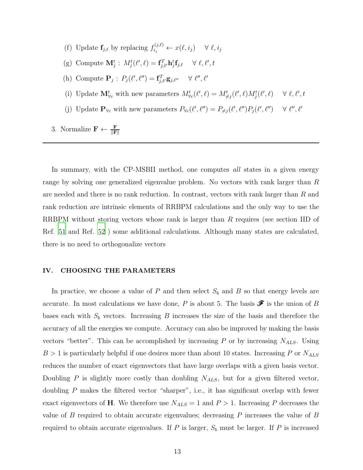- (f) Update  $\mathbf{f}_{j,\ell}$  by replacing  $f_{i_j}^{(j,\ell)}$  $x_{i_j}^{(j,\ell)} \leftarrow x(\ell,i_j) \quad \forall \ell,i_j$
- (g) Compute  $\mathbf{M}_{j}^{t}$ :  $M_{j}^{t}(\ell',\ell) = \mathbf{f}_{j,\ell'}^{T} \mathbf{h}_{j}^{t} \mathbf{f}_{j,\ell} \quad \forall \ell, \ell', t$
- (h) Compute  $\mathbf{P}_j$ :  $P_j(\ell', \ell'') = \mathbf{f}_{j,\ell'}^T \mathbf{g}_{j,\ell''}$   $\forall \ell'', \ell'$
- (i) Update  $\mathbf{M}_{\forall c}^t$  with new parameters  $M_{\forall c}^t(\ell',\ell) = M_{\neq j}^t(\ell',\ell)M_j^t(\ell',\ell) \quad \forall \ell,\ell',t$
- (j) Update  $\mathbf{P}_{\forall c}$  with new parameters  $P_{\forall c}(\ell', \ell'') = P_{\neq j}(\ell', \ell'') P_j(\ell', \ell'') \quad \forall \ell'', \ell'$
- 3. Normalize  $\mathbf{F} \leftarrow \frac{\mathbf{F}}{\|\mathbf{F}\|}$

In summary, with the CP-MSBII method, one computes all states in a given energy range by solving one generalized eigenvalue problem. No vectors with rank larger than R are needed and there is no rank reduction. In contrast, vectors with rank larger than R and rank reduction are intrinsic elements of RRBPM calculations and the only way to use the RRBPM without storing vectors whose rank is larger than R requires (see section IID of Ref. [51](#page-24-13) and Ref. [52](#page-24-17) ) some additional calculations. Although many states are calculated, there is no need to orthogonalize vectors

#### <span id="page-12-0"></span>IV. CHOOSING THE PARAMETERS

In practice, we choose a value of  $P$  and then select  $S_b$  and  $B$  so that energy levels are accurate. In most calculations we have done, P is about 5. The basis  $\mathscr F$  is the union of B bases each with  $S_b$  vectors. Increasing  $B$  increases the size of the basis and therefore the accuracy of all the energies we compute. Accuracy can also be improved by making the basis vectors "better". This can be accomplished by increasing  $P$  or by increasing  $N_{ALS}$ . Using  $B > 1$  is particularly helpful if one desires more than about 10 states. Increasing P or  $N_{ALS}$ reduces the number of exact eigenvectors that have large overlaps with a given basis vector. Doubling  $P$  is slightly more costly than doubling  $N_{ALS}$ , but for a given filtered vector, doubling P makes the filtered vector "sharper", i.e., it has significant overlap with fewer exact eigenvectors of H. We therefore use  $N_{ALS} = 1$  and  $P > 1$ . Increasing P decreases the value of  $B$  required to obtain accurate eigenvalues; decreasing  $P$  increases the value of  $B$ required to obtain accurate eigenvalues. If  $P$  is larger,  $S_b$  must be larger. If  $P$  is increased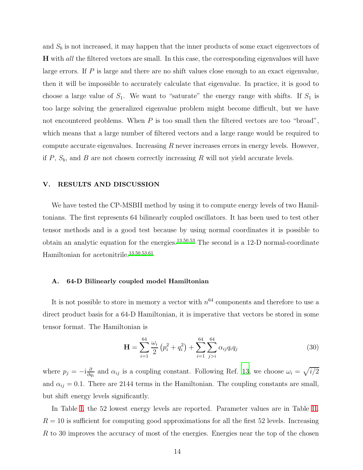and  $S_b$  is not increased, it may happen that the inner products of some exact eigenvectors of H with all the filtered vectors are small. In this case, the corresponding eigenvalues will have large errors. If  $P$  is large and there are no shift values close enough to an exact eigenvalue, then it will be impossible to accurately calculate that eigenvalue. In practice, it is good to choose a large value of  $S_1$ . We want to "saturate" the energy range with shifts. If  $S_1$  is too large solving the generalized eigenvalue problem might become difficult, but we have not encountered problems. When  $P$  is too small then the filtered vectors are too "broad", which means that a large number of filtered vectors and a large range would be required to compute accurate eigenvalues. Increasing  $R$  never increases errors in energy levels. However, if  $P$ ,  $S_b$ , and  $B$  are not chosen correctly increasing  $R$  will not yield accurate levels.

#### V. RESULTS AND DISCUSSION

We have tested the CP-MSBII method by using it to compute energy levels of two Hamiltonians. The first represents 64 bilinearly coupled oscillators. It has been used to test other tensor methods and is a good test because by using normal coordinates it is possible to obtain an analytic equation for the energies.<sup>[13](#page-23-6)[,50](#page-24-12)[,53](#page-24-14)</sup> The second is a 12-D normal-coordinate Hamiltonian for acetonitrile.<sup>[13](#page-23-6)[,50](#page-24-12)[,53](#page-24-14)[,61](#page-25-3)</sup>

#### A. 64-D Bilinearly coupled model Hamiltonian

It is not possible to store in memory a vector with  $n^{64}$  components and therefore to use a direct product basis for a 64-D Hamiltonian, it is imperative that vectors be stored in some tensor format. The Hamiltonian is

$$
\mathbf{H} = \sum_{i=1}^{64} \frac{\omega_i}{2} \left( p_i^2 + q_i^2 \right) + \sum_{i=1}^{64} \sum_{j>i}^{64} \alpha_{ij} q_i q_j \tag{30}
$$

where  $p_j = -i\frac{\partial}{\partial q}$  $\frac{\partial}{\partial q_i}$  and  $\alpha_{ij}$  is a coupling constant. Following Ref. [13](#page-23-6), we choose  $\omega_i = \sqrt{i/2}$ and  $\alpha_{ij} = 0.1$ . There are 2144 terms in the Hamiltonian. The coupling constants are small, but shift energy levels significantly.

In Table [I,](#page-14-0) the 52 lowest energy levels are reported. Parameter values are in Table [II.](#page-16-0)  $R = 10$  is sufficient for computing good approximations for all the first 52 levels. Increasing R to 30 improves the accuracy of most of the energies. Energies near the top of the chosen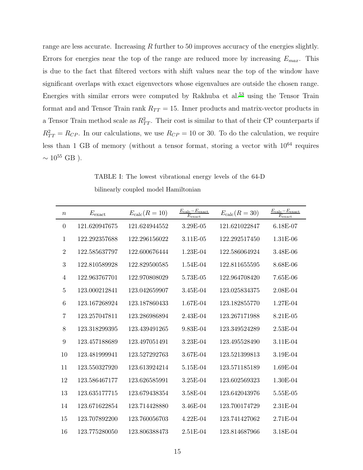range are less accurate. Increasing  $R$  further to 50 improves accuracy of the energies slightly. Errors for energies near the top of the range are reduced more by increasing  $E_{max}$ . This is due to the fact that filtered vectors with shift values near the top of the window have significant overlaps with exact eigenvectors whose eigenvalues are outside the chosen range. Energies with similar errors were computed by Rakhuba et al.[53](#page-24-14) using the Tensor Train format and and Tensor Train rank  $R_{TT} = 15$ . Inner products and matrix-vector products in a Tensor Train method scale as  $R_{TT}^2$ . Their cost is similar to that of their CP counterparts if  $R_{TT}^2 = R_{CP}$ . In our calculations, we use  $R_{CP} = 10$  or 30. To do the calculation, we require less than 1 GB of memory (without a tensor format, storing a vector with  $10^{64}$  requires  $\sim 10^{55}$  GB ).

TABLE I: The lowest vibrational energy levels of the 64-D bilinearly coupled model Hamiltonian

<span id="page-14-0"></span>

| $\boldsymbol{n}$ | $E_{\text{exact}}$ | $E_{\text{calc}}(R=10)$ | $E_{\rm calc} - E_{\rm exact}$<br>$E_{\rm exact}$ | $E_{\text{calc}}(R=30)$ | $E_{\rm calc} - E_{\rm exact}$<br>$\overline{E_{\rm exact}}$ |
|------------------|--------------------|-------------------------|---------------------------------------------------|-------------------------|--------------------------------------------------------------|
| $\theta$         | 121.620947675      | 121.624944552           | 3.29E-05                                          | 121.621022847           | 6.18E-07                                                     |
| $\mathbf{1}$     | 122.292357688      | 122.296156022           | 3.11E-05                                          | 122.292517450           | 1.31E-06                                                     |
| $\overline{2}$   | 122.585637797      | 122.600676444           | 1.23E-04                                          | 122.586064924           | 3.48E-06                                                     |
| 3                | 122.810589928      | 122.829500585           | $1.54E-04$                                        | 122.811655595           | 8.68E-06                                                     |
| 4                | 122.963767701      | 122.970808029           | 5.73E-05                                          | 122.964708420           | $7.65E-06$                                                   |
| $\overline{5}$   | 123.000212841      | 123.042659907           | 3.45E-04                                          | 123.025834375           | 2.08E-04                                                     |
| 6                | 123.167268924      | 123.187860433           | 1.67E-04                                          | 123.182855770           | 1.27E-04                                                     |
| $\overline{7}$   | 123.257047811      | 123.286986894           | 2.43E-04                                          | 123.267171988           | 8.21E-05                                                     |
| 8                | 123.318299395      | 123.439491265           | 9.83E-04                                          | 123.349524289           | 2.53E-04                                                     |
| 9                | 123.457188689      | 123.497051491           | 3.23E-04                                          | 123.495528490           | 3.11E-04                                                     |
| 10               | 123.481999941      | 123.527292763           | 3.67E-04                                          | 123.521399813           | 3.19E-04                                                     |
| 11               | 123.550327920      | 123.613924214           | 5.15E-04                                          | 123.571185189           | 1.69E-04                                                     |
| 12               | 123.586467177      | 123.626585991           | 3.25E-04                                          | 123.602569323           | 1.30E-04                                                     |
| 13               | 123.635177715      | 123.679438354           | 3.58E-04                                          | 123.642043976           | 5.55E-05                                                     |
| 14               | 123.671622854      | 123.714428880           | 3.46E-04                                          | 123.700174729           | 2.31E-04                                                     |
| 15               | 123.707892200      | 123.760056703           | 4.22E-04                                          | 123.741427062           | 2.71E-04                                                     |
| 16               | 123.775280050      | 123.806388473           | $2.51E-04$                                        | 123.814687966           | 3.18E-04                                                     |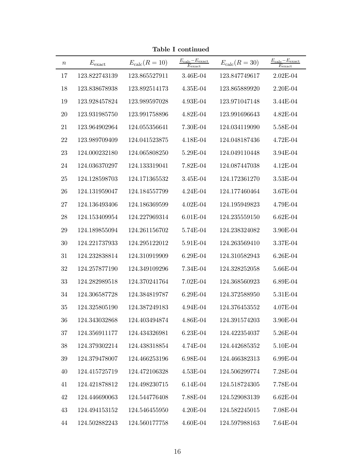| $\, n$ | $E_{\mathrm{exact}}$ | $E_{\text{calc}}(R=10)$ | $\frac{E_{\rm calc}-E_{\rm exact}}{E_{\rm exact}}$ | $E_{\text{calc}}(R=30)$ | $E_{\rm calc} - E_{\rm exact}$<br>$E_{\rm exact}$ |
|--------|----------------------|-------------------------|----------------------------------------------------|-------------------------|---------------------------------------------------|
| 17     | 123.822743139        | 123.865527911           | 3.46E-04                                           | 123.847749617           | $2.02E-04$                                        |
| 18     | 123.838678938        | 123.892514173           | 4.35E-04                                           | 123.865889920           | 2.20E-04                                          |
| 19     | 123.928457824        | 123.989597028           | 4.93E-04                                           | 123.971047148           | 3.44E-04                                          |
| 20     | 123.931985750        | 123.991758896           | 4.82E-04                                           | 123.991696643           | 4.82E-04                                          |
| 21     | 123.964902964        | 124.055356641           | 7.30E-04                                           | 124.034119090           | 5.58E-04                                          |
| $22\,$ | 123.989709409        | 124.041523875           | 4.18E-04                                           | 124.048187436           | 4.72E-04                                          |
| $23\,$ | 124.000232180        | 124.065808250           | 5.29E-04                                           | 124.049110448           | 3.94E-04                                          |
| 24     | 124.036370297        | 124.133319041           | 7.82E-04                                           | 124.087447038           | 4.12E-04                                          |
| 25     | 124.128598703        | 124.171365532           | 3.45E-04                                           | 124.172361270           | 3.53E-04                                          |
| 26     | 124.131959047        | 124.184557799           | 4.24E-04                                           | 124.177460464           | 3.67E-04                                          |
| 27     | 124.136493406        | 124.186369599           | $4.02E-04$                                         | 124.195949823           | 4.79E-04                                          |
| 28     | 124.153409954        | 124.227969314           | 6.01E-04                                           | 124.235559150           | 6.62E-04                                          |
| 29     | 124.189855094        | 124.261156702           | 5.74E-04                                           | 124.238324082           | 3.90E-04                                          |
| 30     | 124.221737933        | 124.295122012           | 5.91E-04                                           | 124.263569410           | 3.37E-04                                          |
| 31     | 124.232838814        | 124.310919909           | 6.29E-04                                           | 124.310582943           | 6.26E-04                                          |
| 32     | 124.257877190        | 124.349109296           | 7.34E-04                                           | 124.328252058           | 5.66E-04                                          |
| 33     | 124.282989518        | 124.370241764           | 7.02E-04                                           | 124.368560923           | 6.89E-04                                          |
| 34     | 124.306587728        | 124.384819787           | 6.29E-04                                           | 124.372588950           | 5.31E-04                                          |
| 35     | 124.325805190        | 124.387249183           | 4.94E-04                                           | 124.376453552           | 4.07E-04                                          |
| 36     | 124.343032868        | 124.403494874           | 4.86E-04                                           | 124.391574203           | 3.90E-04                                          |
| 37     | 124.356911177        | 124.434326981           | 6.23E-04                                           | 124.422354037           | 5.26E-04                                          |
| 38     | 124.379302214        | 124.438318854           | 4.74E-04                                           | 124.442685352           | 5.10E-04                                          |
| 39     | 124.379478007        | 124.466253196           | 6.98E-04                                           | 124.466382313           | 6.99E-04                                          |
| 40     | 124.415725719        | 124.472106328           | 4.53E-04                                           | 124.506299774           | 7.28E-04                                          |
| 41     | 124.421878812        | 124.498230715           | 6.14E-04                                           | 124.518724305           | 7.78E-04                                          |
| 42     | 124.446690063        | 124.544776408           | 7.88E-04                                           | 124.529083139           | $6.62E-04$                                        |
| 43     | 124.494153152        | 124.546455950           | 4.20E-04                                           | 124.582245015           | 7.08E-04                                          |
| 44     | 124.502882243        | 124.560177758           | 4.60E-04                                           | 124.597988163           | 7.64E-04                                          |

Table I continued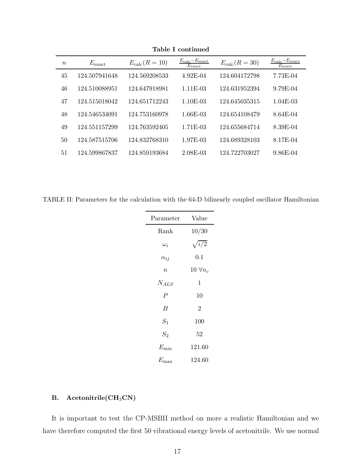| $\boldsymbol{n}$ | $E_{\rm exact}$ | $E_{\text{calc}}(R=10)$ | $E_{\rm calc} - E_{\rm exact}$<br>$E_{\rm exact}$ | $E_{\text{calc}}(R=30)$ | $E_{\rm calc} - E_{\rm exact}$<br>$E_{\rm exact}$ |
|------------------|-----------------|-------------------------|---------------------------------------------------|-------------------------|---------------------------------------------------|
| 45               | 124.507941648   | 124.569208533           | $4.92E-04$                                        | 124.604172798           | 7.73E-04                                          |
| 46               | 124.510088951   | 124.647918981           | $1.11E-03$                                        | 124.631952394           | 9.79E-04                                          |
| 47               | 124.515018042   | 124.651712243           | $1.10E-03$                                        | 124.645035315           | $1.04E-03$                                        |
| 48               | 124.546534091   | 124.753160978           | 1.66E-03                                          | 124.654108479           | 8.64E-04                                          |
| 49               | 124.551157299   | 124.763592405           | 1.71E-03                                          | 124.655684714           | 8.39E-04                                          |
| 50               | 124.587515706   | 124.832768310           | 1.97E-03                                          | 124.689328103           | 8.17E-04                                          |
| 51               | 124.599867837   | 124.859193684           | 2.08E-03                                          | 124.722703027           | 9.86E-04                                          |
|                  |                 |                         |                                                   |                         |                                                   |

Table I continued

<span id="page-16-0"></span>TABLE II: Parameters for the calculation with the 64-D bilinearly coupled oscillator Hamiltonian

| Parameter        | Value            |
|------------------|------------------|
| Rank             | 10/30            |
| $\omega_i$       | $\sqrt{i/2}$     |
| $\alpha_{ij}$    | 0.1              |
| $\boldsymbol{n}$ | 10 $\forall n_c$ |
| $N_{ALS}$        | 1                |
| $\overline{P}$   | 10               |
| B                | $\overline{2}$   |
| $S_1$            | $100\,$          |
| $S_2$            | 52               |
| $E_{\rm min}$    | 121.60           |
| $E_{\rm max}$    | 124.60           |

# B. Acetonitrile(CH<sub>3</sub>CN)

It is important to test the CP-MSBII method on more a realistic Hamiltonian and we have therefore computed the first 50 vibrational energy levels of acetonitrile. We use normal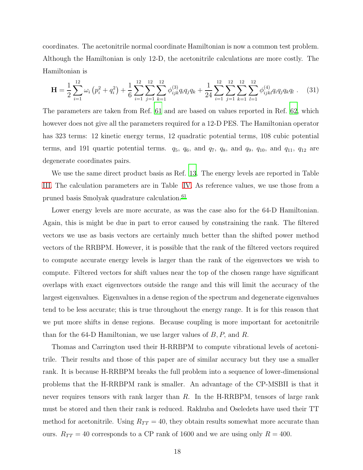coordinates. The acetonitrile normal coordinate Hamiltonian is now a common test problem. Although the Hamiltonian is only 12-D, the acetonitrile calculations are more costly. The Hamiltonian is

$$
\mathbf{H} = \frac{1}{2} \sum_{i=1}^{12} \omega_i \left( p_i^2 + q_i^2 \right) + \frac{1}{6} \sum_{i=1}^{12} \sum_{j=1}^{12} \sum_{k=1}^{12} \phi_{ijk}^{(3)} q_i q_j q_k + \frac{1}{24} \sum_{i=1}^{12} \sum_{j=1}^{12} \sum_{k=1}^{12} \sum_{l=1}^{12} \phi_{ijkl}^{(4)} q_i q_j q_k q_l \ . \tag{31}
$$

The parameters are taken from Ref. [61](#page-25-3) and are based on values reported in Ref. [62,](#page-25-4) which however does not give all the parameters required for a 12-D PES. The Hamiltonian operator has 323 terms: 12 kinetic energy terms, 12 quadratic potential terms, 108 cubic potential terms, and 191 quartic potential terms.  $q_5$ ,  $q_6$ , and  $q_7$ ,  $q_8$ , and  $q_9$ ,  $q_{10}$ , and  $q_{11}$ ,  $q_{12}$  are degenerate coordinates pairs.

We use the same direct product basis as Ref. [13](#page-23-6). The energy levels are reported in Table [III.](#page-18-0) The calculation parameters are in Table [IV.](#page-20-0) As reference values, we use those from a pruned basis Smolyak quadrature calculation.<sup>[61](#page-25-3)</sup>

Lower energy levels are more accurate, as was the case also for the 64-D Hamiltonian. Again, this is might be due in part to error caused by constraining the rank. The filtered vectors we use as basis vectors are certainly much better than the shifted power method vectors of the RRBPM. However, it is possible that the rank of the filtered vectors required to compute accurate energy levels is larger than the rank of the eigenvectors we wish to compute. Filtered vectors for shift values near the top of the chosen range have significant overlaps with exact eigenvectors outside the range and this will limit the accuracy of the largest eigenvalues. Eigenvalues in a dense region of the spectrum and degenerate eigenvalues tend to be less accurate; this is true throughout the energy range. It is for this reason that we put more shifts in dense regions. Because coupling is more important for acetonitrile than for the 64-D Hamiltonian, we use larger values of  $B, P$ , and  $R$ .

Thomas and Carrington used their H-RRBPM to compute vibrational levels of acetonitrile. Their results and those of this paper are of similar accuracy but they use a smaller rank. It is because H-RRBPM breaks the full problem into a sequence of lower-dimensional problems that the H-RRBPM rank is smaller. An advantage of the CP-MSBII is that it never requires tensors with rank larger than  $R$ . In the H-RRBPM, tensors of large rank must be stored and then their rank is reduced. Rakhuba and Oseledets have used their TT method for acetonitrile. Using  $R_{TT} = 40$ , they obtain results somewhat more accurate than ours.  $R_{TT} = 40$  corresponds to a CP rank of 1600 and we are using only  $R = 400$ .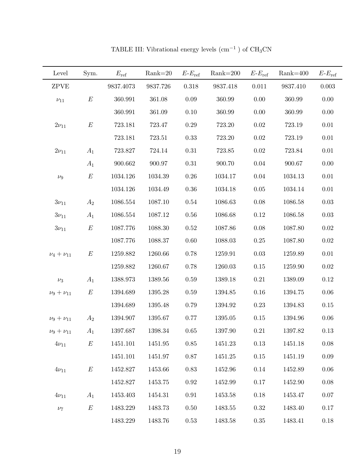<span id="page-18-0"></span>

| Level              | Sym.             | $E_{\text{ref}}$ | $Rank=20$ | $E-E_{\text{ref}}$ | $Rank=200$ | $E-E_{\text{ref}}$ | $Rank=400$ | $E-E_{\text{ref}}$ |
|--------------------|------------------|------------------|-----------|--------------------|------------|--------------------|------------|--------------------|
| <b>ZPVE</b>        |                  | 9837.4073        | 9837.726  | 0.318              | 9837.418   | 0.011              | 9837.410   | 0.003              |
| $\nu_{11}$         | $\boldsymbol{E}$ | 360.991          | 361.08    | $0.09\,$           | 360.99     | $0.00\,$           | 360.99     | $0.00\,$           |
|                    |                  | 360.991          | 361.09    | 0.10               | 360.99     | $0.00\,$           | 360.99     | $0.00\,$           |
| $2\nu_{11}$        | E                | 723.181          | 723.47    | 0.29               | 723.20     | 0.02               | 723.19     | $0.01\,$           |
|                    |                  | 723.181          | 723.51    | 0.33               | 723.20     | $0.02\,$           | 723.19     | $0.01\,$           |
| $2\nu_{11}$        | $A_1$            | 723.827          | 724.14    | 0.31               | 723.85     | $0.02\,$           | 723.84     | $0.01\,$           |
|                    | $A_1$            | 900.662          | 900.97    | $0.31\,$           | 900.70     | $0.04\,$           | 900.67     | 0.00               |
| $\nu_9$            | $\boldsymbol{E}$ | 1034.126         | 1034.39   | 0.26               | 1034.17    | 0.04               | 1034.13    | $0.01\,$           |
|                    |                  | 1034.126         | 1034.49   | $0.36\,$           | 1034.18    | 0.05               | 1034.14    | $0.01\,$           |
| $3\nu_{11}$        | $A_2$            | 1086.554         | 1087.10   | $0.54\,$           | 1086.63    | 0.08               | 1086.58    | $0.03\,$           |
| $3\nu_{11}$        | $A_1$            | 1086.554         | 1087.12   | $0.56\,$           | 1086.68    | 0.12               | 1086.58    | $0.03\,$           |
| $3\nu_{11}$        | $\boldsymbol{E}$ | 1087.776         | 1088.30   | 0.52               | 1087.86    | $0.08\,$           | 1087.80    | $0.02\,$           |
|                    |                  | 1087.776         | 1088.37   | 0.60               | 1088.03    | 0.25               | 1087.80    | $0.02\,$           |
| $\nu_4 + \nu_{11}$ | $\boldsymbol{E}$ | 1259.882         | 1260.66   | 0.78               | 1259.91    | 0.03               | 1259.89    | $0.01\,$           |
|                    |                  | 1259.882         | 1260.67   | 0.78               | 1260.03    | 0.15               | 1259.90    | $0.02\,$           |
| $\nu_3$            | $A_1$            | 1388.973         | 1389.56   | 0.59               | 1389.18    | 0.21               | 1389.09    | $0.12\,$           |
| $\nu_9 + \nu_{11}$ | $\boldsymbol{E}$ | 1394.689         | 1395.28   | $0.59\,$           | 1394.85    | $0.16\,$           | 1394.75    | $0.06\,$           |
|                    |                  | 1394.689         | 1395.48   | 0.79               | 1394.92    | 0.23               | 1394.83    | $0.15\,$           |
| $\nu_9 + \nu_{11}$ | $A_2$            | 1394.907         | 1395.67   | 0.77               | 1395.05    | 0.15               | 1394.96    | $0.06\,$           |
| $\nu_9 + \nu_{11}$ | $A_1$            | 1397.687         | 1398.34   | 0.65               | 1397.90    | 0.21               | 1397.82    | 0.13               |
| $4\nu_{11}$        | E                | 1451.101         | 1451.95   | $0.85\,$           | 1451.23    | 0.13               | 1451.18    | $0.08\,$           |
|                    |                  | 1451.101         | 1451.97   | 0.87               | 1451.25    | 0.15               | 1451.19    | $0.09\,$           |
| $4\nu_{11}$        | $\boldsymbol{E}$ | 1452.827         | 1453.66   | 0.83               | 1452.96    | $0.14\,$           | 1452.89    | $0.06\,$           |
|                    |                  | 1452.827         | 1453.75   | 0.92               | 1452.99    | 0.17               | 1452.90    | 0.08               |
| $4\nu_{11}$        | $A_1$            | 1453.403         | 1454.31   | $\rm 0.91$         | 1453.58    | $0.18\,$           | 1453.47    | $0.07\,$           |
| $\nu_7$            | E                | 1483.229         | 1483.73   | 0.50               | 1483.55    | $0.32\,$           | 1483.40    | $0.17\,$           |
|                    |                  | 1483.229         | 1483.76   | $0.53\,$           | 1483.58    | $0.35\,$           | 1483.41    | $0.18\,$           |

TABLE III: Vibrational energy levels  $\rm (cm^{-1}$  ) of CH<sub>3</sub>CN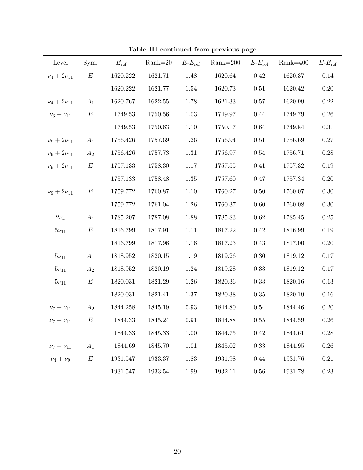| Level               | Sym.             | $E_{\text{ref}}$ | $Rank=20$   | $E$ - $E$ <sub>ref</sub> | $Rank=200$ | $E-E_{\text{ref}}$ | $Rank=400$ | $E\text{-}E_{\text{ref}}$ |
|---------------------|------------------|------------------|-------------|--------------------------|------------|--------------------|------------|---------------------------|
| $\nu_4 + 2\nu_{11}$ | $\boldsymbol{E}$ | 1620.222         | 1621.71     | 1.48                     | 1620.64    | 0.42               | 1620.37    | 0.14                      |
|                     |                  | 1620.222         | 1621.77     | 1.54                     | 1620.73    | 0.51               | 1620.42    | 0.20                      |
| $\nu_4 + 2\nu_{11}$ | $A_1$            | 1620.767         | 1622.55     | 1.78                     | 1621.33    | $0.57\,$           | 1620.99    | $0.22\,$                  |
| $\nu_3 + \nu_{11}$  | $E\,$            | 1749.53          | 1750.56     | 1.03                     | 1749.97    | 0.44               | 1749.79    | $0.26\,$                  |
|                     |                  | 1749.53          | 1750.63     | 1.10                     | 1750.17    | $0.64\,$           | 1749.84    | $0.31\,$                  |
| $\nu_9 + 2\nu_{11}$ | $A_1$            | 1756.426         | 1757.69     | 1.26                     | 1756.94    | $0.51\,$           | 1756.69    | $0.27\,$                  |
| $\nu_9 + 2\nu_{11}$ | $A_2$            | 1756.426         | 1757.73     | $1.31\,$                 | 1756.97    | $0.54\,$           | 1756.71    | $0.28\,$                  |
| $\nu_9 + 2\nu_{11}$ | E                | 1757.133         | 1758.30     | $1.17\,$                 | 1757.55    | 0.41               | 1757.32    | 0.19                      |
|                     |                  | 1757.133         | 1758.48     | 1.35                     | 1757.60    | 0.47               | 1757.34    | 0.20                      |
| $\nu_9 + 2\nu_{11}$ | E                | 1759.772         | 1760.87     | 1.10                     | 1760.27    | 0.50               | 1760.07    | 0.30                      |
|                     |                  | 1759.772         | 1761.04     | 1.26                     | 1760.37    | $0.60\,$           | 1760.08    | $0.30\,$                  |
| $2\nu_4$            | $A_1$            | 1785.207         | 1787.08     | 1.88                     | 1785.83    | $0.62\,$           | 1785.45    | $0.25\,$                  |
| $5\nu_{11}$         | $\boldsymbol{E}$ | 1816.799         | 1817.91     | 1.11                     | 1817.22    | $0.42\,$           | 1816.99    | $0.19\,$                  |
|                     |                  | 1816.799         | 1817.96     | 1.16                     | 1817.23    | $0.43\,$           | 1817.00    | 0.20                      |
| $5\nu_{11}$         | $A_1$            | 1818.952         | 1820.15     | 1.19                     | 1819.26    | 0.30               | 1819.12    | 0.17                      |
| $5\nu_{11}$         | $A_2$            | 1818.952         | 1820.19     | 1.24                     | 1819.28    | 0.33               | 1819.12    | 0.17                      |
| $5\nu_{11}$         | $\boldsymbol{E}$ | 1820.031         | 1821.29     | 1.26                     | 1820.36    | $0.33\,$           | 1820.16    | 0.13                      |
|                     |                  | 1820.031         | 1821.41     | 1.37                     | 1820.38    | $0.35\,$           | 1820.19    | $0.16\,$                  |
| $\nu_7 + \nu_{11}$  | $A_2$            | 1844.258         | 1845.19     | $\,0.93$                 | 1844.80    | $0.54\,$           | 1844.46    | 0.20                      |
| $\nu_7 + \nu_{11}$  | $\boldsymbol{E}$ | 1844.33          | 1845.24     | $\rm 0.91$               | 1844.88    | $0.55\,$           | 1844.59    | $0.26\,$                  |
|                     |                  | 1844.33          | 1845.33     | $1.00\,$                 | 1844.75    | $0.42\,$           | 1844.61    | $0.28\,$                  |
| $\nu_7 + \nu_{11}$  | $A_1$            | 1844.69          | 1845.70     | 1.01                     | 1845.02    | 0.33               | 1844.95    | $0.26\,$                  |
| $\nu_4 + \nu_9$     | $\boldsymbol{E}$ | 1931.547         | 1933.37     | 1.83                     | 1931.98    | $0.44\,$           | 1931.76    | $0.21\,$                  |
|                     |                  | 1931.547         | $1933.54\,$ | 1.99                     | 1932.11    | $0.56\,$           | 1931.78    | $0.23\,$                  |

Table III continued from previous page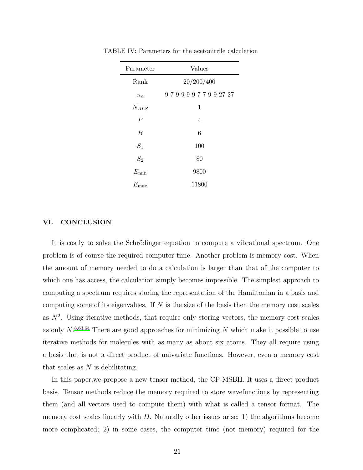<span id="page-20-0"></span>

| Parameter      | Values         |  |  |  |
|----------------|----------------|--|--|--|
| Rank           | 20/200/400     |  |  |  |
| $n_c$          | 97999977992727 |  |  |  |
| $N_{ALS}$      | 1              |  |  |  |
| $\overline{P}$ | 4              |  |  |  |
| B              | 6              |  |  |  |
| $S_1$          | 100            |  |  |  |
| $S_2$          | 80             |  |  |  |
| $E_{\rm min}$  | 9800           |  |  |  |
| $E_{\rm max}$  | 11800          |  |  |  |

TABLE IV: Parameters for the acetonitrile calculation

#### VI. CONCLUSION

It is costly to solve the Schrödinger equation to compute a vibrational spectrum. One problem is of course the required computer time. Another problem is memory cost. When the amount of memory needed to do a calculation is larger than that of the computer to which one has access, the calculation simply becomes impossible. The simplest approach to computing a spectrum requires storing the representation of the Hamiltonian in a basis and computing some of its eigenvalues. If  $N$  is the size of the basis then the memory cost scales as  $N^2$ . Using iterative methods, that require only storing vectors, the memory cost scales as only  $N^{8,63,64}$  $N^{8,63,64}$  $N^{8,63,64}$  $N^{8,63,64}$  $N^{8,63,64}$  There are good approaches for minimizing N which make it possible to use iterative methods for molecules with as many as about six atoms. They all require using a basis that is not a direct product of univariate functions. However, even a memory cost that scales as  $N$  is debilitating.

In this paper,we propose a new tensor method, the CP-MSBII. It uses a direct product basis. Tensor methods reduce the memory required to store wavefunctions by representing them (and all vectors used to compute them) with what is called a tensor format. The memory cost scales linearly with  $D$ . Naturally other issues arise: 1) the algorithms become more complicated; 2) in some cases, the computer time (not memory) required for the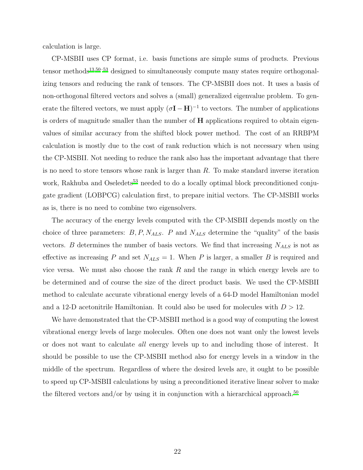calculation is large.

CP-MSBII uses CP format, i.e. basis functions are simple sums of products. Previous tensor methods<sup>[13](#page-23-6)[,50](#page-24-12)[–53](#page-24-14)</sup> designed to simultaneously compute many states require orthogonalizing tensors and reducing the rank of tensors. The CP-MSBII does not. It uses a basis of non-orthogonal filtered vectors and solves a (small) generalized eigenvalue problem. To generate the filtered vectors, we must apply  $(\sigma I - H)^{-1}$  to vectors. The number of applications is orders of magnitude smaller than the number of  $H$  applications required to obtain eigenvalues of similar accuracy from the shifted block power method. The cost of an RRBPM calculation is mostly due to the cost of rank reduction which is not necessary when using the CP-MSBII. Not needing to reduce the rank also has the important advantage that there is no need to store tensors whose rank is larger than  $R$ . To make standard inverse iteration work, Rakhuba and Oseledets<sup>[53](#page-24-14)</sup> needed to do a locally optimal block preconditioned conjugate gradient (LOBPCG) calculation first, to prepare initial vectors. The CP-MSBII works as is, there is no need to combine two eigensolvers.

The accuracy of the energy levels computed with the CP-MSBII depends mostly on the choice of three parameters:  $B, P, N_{ALS}$ . P and  $N_{ALS}$  determine the "quality" of the basis vectors. B determines the number of basis vectors. We find that increasing  $N_{ALS}$  is not as effective as increasing P and set  $N_{ALS} = 1$ . When P is larger, a smaller B is required and vice versa. We must also choose the rank  $R$  and the range in which energy levels are to be determined and of course the size of the direct product basis. We used the CP-MSBII method to calculate accurate vibrational energy levels of a 64-D model Hamiltonian model and a 12-D acetonitrile Hamiltonian. It could also be used for molecules with  $D > 12$ .

We have demonstrated that the CP-MSBII method is a good way of computing the lowest vibrational energy levels of large molecules. Often one does not want only the lowest levels or does not want to calculate all energy levels up to and including those of interest. It should be possible to use the CP-MSBII method also for energy levels in a window in the middle of the spectrum. Regardless of where the desired levels are, it ought to be possible to speed up CP-MSBII calculations by using a preconditioned iterative linear solver to make the filtered vectors and/or by using it in conjunction with a hierarchical approach.<sup>[50](#page-24-12)</sup>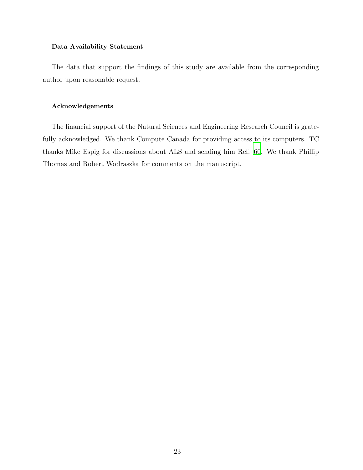#### Data Availability Statement

The data that support the findings of this study are available from the corresponding author upon reasonable request.

#### Acknowledgements

The financial support of the Natural Sciences and Engineering Research Council is gratefully acknowledged. We thank Compute Canada for providing access to its computers. TC thanks Mike Espig for discussions about ALS and sending him Ref. [60](#page-25-2). We thank Phillip Thomas and Robert Wodraszka for comments on the manuscript.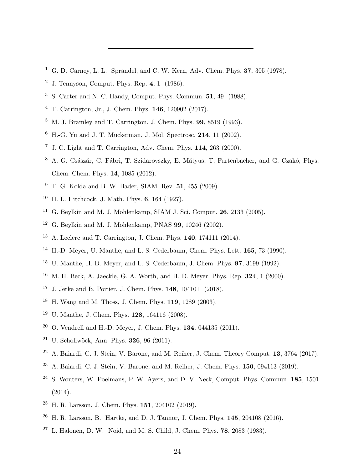- <span id="page-23-0"></span><sup>1</sup> G. D. Carney, L. L. Sprandel, and C. W. Kern, Adv. Chem. Phys.  $37, 305$  (1978).
- J. Tennyson, Comput. Phys. Rep. 4, 1 (1986).
- S. Carter and N. C. Handy, Comput. Phys. Commun. 51, 49 (1988).
- <span id="page-23-1"></span>T. Carrington, Jr., J. Chem. Phys. 146, 120902 (2017).
- <span id="page-23-2"></span>M. J. Bramley and T. Carrington, J. Chem. Phys. **99**, 8519 (1993).
- H.-G. Yu and J. T. Muckerman, J. Mol. Spectrosc. 214, 11 (2002).
- J. C. Light and T. Carrington, Adv. Chem. Phys. 114, 263 (2000).
- <span id="page-23-3"></span><sup>8</sup> A. G. Császár, C. Fábri, T. Szidarovszky, E. Mátyus, T. Furtenbacher, and G. Czakó, Phys. Chem. Chem. Phys. 14, 1085 (2012).
- <span id="page-23-4"></span>T. G. Kolda and B. W. Bader, SIAM. Rev. 51, 455 (2009).
- H. L. Hitchcock, J. Math. Phys. 6, 164 (1927).
- <sup>11</sup> G. Beylkin and M. J. Mohlenkamp, SIAM J. Sci. Comput. **26**, 2133 (2005).
- <span id="page-23-5"></span><sup>12</sup> G. Beylkin and M. J. Mohlenkamp, PNAS **99**, 10246 (2002).
- <span id="page-23-6"></span>A. Leclerc and T. Carrington, J. Chem. Phys. 140, 174111 (2014).
- <span id="page-23-7"></span><sup>14</sup> H.-D. Meyer, U. Manthe, and L. S. Cederbaum, Chem. Phys. Lett. **165**, 73 (1990).
- U. Manthe, H.-D. Meyer, and L. S. Cederbaum, J. Chem. Phys. 97, 3199 (1992).
- <span id="page-23-8"></span><sup>16</sup> M. H. Beck, A. Jaeckle, G. A. Worth, and H. D. Meyer, Phys. Rep. **324**, 1 (2000).
- <span id="page-23-9"></span>J. Jerke and B. Poirier, J. Chem. Phys. 148, 104101 (2018).
- <span id="page-23-10"></span>H. Wang and M. Thoss, J. Chem. Phys. 119, 1289 (2003).
- U. Manthe, J. Chem. Phys. 128, 164116 (2008).
- <span id="page-23-11"></span>O. Vendrell and H.-D. Meyer, J. Chem. Phys. 134, 044135 (2011).
- <span id="page-23-12"></span><sup>21</sup> U. Schollwöck, Ann. Phys. **326**, 96 (2011).
- <span id="page-23-13"></span>A. Baiardi, C. J. Stein, V. Barone, and M. Reiher, J. Chem. Theory Comput. 13, 3764 (2017).
- <span id="page-23-14"></span><sup>23</sup> A. Baiardi, C. J. Stein, V. Barone, and M. Reiher, J. Chem. Phys. **150**, 094113 (2019).
- <span id="page-23-15"></span> S. Wouters, W. Poelmans, P. W. Ayers, and D. V. Neck, Comput. Phys. Commun. 185, 1501 (2014).
- <span id="page-23-16"></span>H. R. Larsson, J. Chem. Phys. 151, 204102 (2019).
- <span id="page-23-17"></span>H. R. Larsson, B. Hartke, and D. J. Tannor, J. Chem. Phys. 145, 204108 (2016).
- L. Halonen, D. W. Noid, and M. S. Child, J. Chem. Phys. 78, 2083 (1983).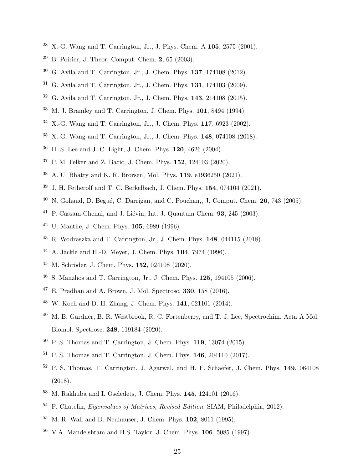- X.-G. Wang and T. Carrington, Jr., J. Phys. Chem. A 105, 2575 (2001).
- <span id="page-24-0"></span>B. Poirier, J. Theor. Comput. Chem. 2, 65 (2003).
- <span id="page-24-1"></span>G. Avila and T. Carrington, Jr., J. Chem. Phys. 137, 174108 (2012).
- G. Avila and T. Carrington, Jr., J. Chem. Phys. **131**, 174103 (2009).
- <span id="page-24-2"></span>G. Avila and T. Carrington, Jr., J. Chem. Phys. **143**, 214108 (2015).
- <span id="page-24-3"></span>M. J. Bramley and T. Carrington, J. Chem. Phys. 101, 8494 (1994).
- X.-G. Wang and T. Carrington, Jr., J. Chem. Phys. 117, 6923 (2002).
- X.-G. Wang and T. Carrington, Jr., J. Chem. Phys. 148, 074108 (2018).
- H.-S. Lee and J. C. Light, J. Chem. Phys. 120, 4626 (2004).
- <span id="page-24-4"></span>P. M. Felker and Z. Bacic, J. Chem. Phys. 152, 124103 (2020).
- <span id="page-24-5"></span>A. U. Bhatty and K. R. Brorsen, Mol. Phys. 119, e1936250 (2021).
- J. H. Fetherolf and T. C. Berkelbach, J. Chem. Phys. 154, 074104 (2021).
- $^{40}$  N. Gohaud, D. Bégué, C. Darrigan, and C. Pouchan,, J. Comput. Chem. 26, 743 (2005).
- <span id="page-24-6"></span>P. Cassam-Chenai, and J. Liévin, Int. J. Quantum Chem. 93, 245 (2003).
- <span id="page-24-7"></span>U. Manthe, J. Chem. Phys. 105, 6989 (1996).
- <span id="page-24-8"></span>R. Wodraszka and T. Carrington, Jr., J. Chem. Phys. 148, 044115 (2018).
- <span id="page-24-9"></span><sup>44</sup> A. Jäckle and H.-D. Meyer, J. Chem. Phys. **104**, 7974 (1996).
- <sup>45</sup> M. Schröder, J. Chem. Phys. **152**, 024108 (2020).
- S. Manzhos and T. Carrington, Jr., J. Chem. Phys. 125, 194105 (2006).
- E. Pradhan and A. Brown, J. Mol. Spectrosc. 330, 158 (2016).
- <span id="page-24-10"></span>W. Koch and D. H. Zhang, J. Chem. Phys. 141, 021101 (2014).
- <span id="page-24-11"></span> M. B. Gardner, B. R. Westbrook, R. C. Fortenberry, and T. J. Lee, Spectrochim. Acta A Mol. Biomol. Spectrosc. 248, 119184 (2020).
- <span id="page-24-12"></span>P. S. Thomas and T. Carrington, J. Chem. Phys. 119, 13074 (2015).
- <span id="page-24-13"></span>P. S. Thomas and T. Carrington, J. Chem. Phys. 146, 204110 (2017).
- <span id="page-24-17"></span> P. S. Thomas, T. Carrington, J. Agarwal, and H. F. Schaefer, J. Chem. Phys. 149, 064108 (2018).
- <span id="page-24-14"></span>M. Rakhuba and I. Oseledets, J. Chem. Phys. 145, 124101 (2016).
- <span id="page-24-15"></span>F. Chatelin, Eigenvalues of Matrices, Revised Edition, SIAM, Philadelphia, 2012).
- <span id="page-24-16"></span>M. R. Wall and D. Neuhauser, J. Chem. Phys. 102, 8011 (1995).
- V.A. Mandelshtam and H.S. Taylor, J. Chem. Phys. 106, 5085 (1997).